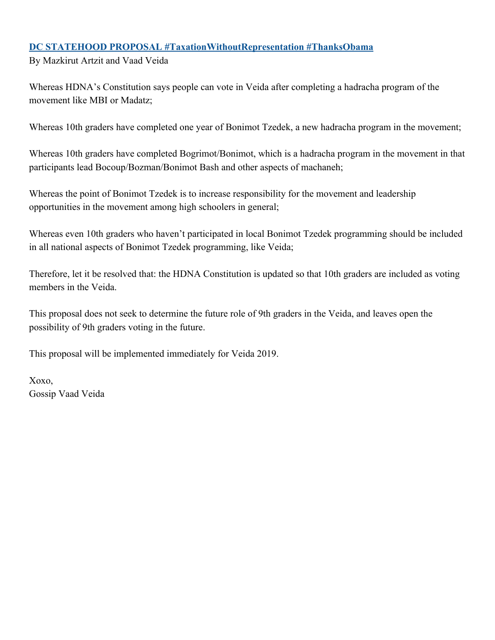#### **DC STATEHOOD PROPOSAL #TaxationWithoutRepresentation #ThanksObama**

By Mazkirut Artzit and Vaad Veida

Whereas HDNA's Constitution says people can vote in Veida after completing a hadracha program of the movement like MBI or Madatz;

Whereas 10th graders have completed one year of Bonimot Tzedek, a new hadracha program in the movement;

Whereas 10th graders have completed Bogrimot/Bonimot, which is a hadracha program in the movement in that participants lead Bocoup/Bozman/Bonimot Bash and other aspects of machaneh;

Whereas the point of Bonimot Tzedek is to increase responsibility for the movement and leadership opportunities in the movement among high schoolers in general;

Whereas even 10th graders who haven't participated in local Bonimot Tzedek programming should be included in all national aspects of Bonimot Tzedek programming, like Veida;

Therefore, let it be resolved that: the HDNA Constitution is updated so that 10th graders are included as voting members in the Veida.

This proposal does not seek to determine the future role of 9th graders in the Veida, and leaves open the possibility of 9th graders voting in the future.

This proposal will be implemented immediately for Veida 2019.

Xoxo, Gossip Vaad Veida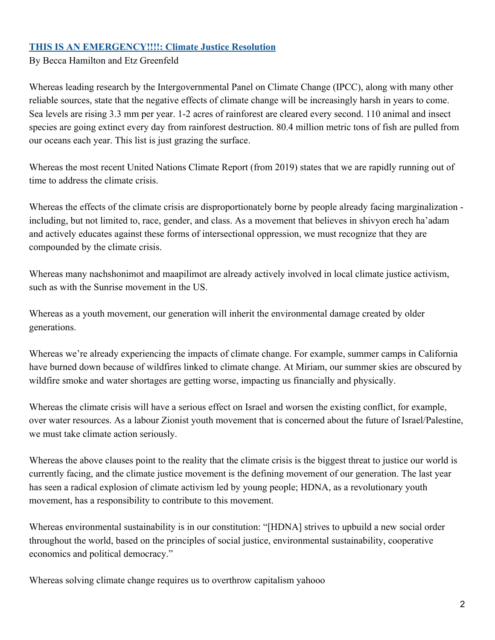#### **THIS IS AN EMERGENCY!!!!: Climate Justice Resolution**

By Becca Hamilton and Etz Greenfeld

Whereas leading research by the Intergovernmental Panel on Climate Change (IPCC), along with many other reliable sources, state that the negative effects of climate change will be increasingly harsh in years to come. Sea levels are rising 3.3 mm per year. 1-2 acres of rainforest are cleared every second. 110 animal and insect species are going extinct every day from rainforest destruction. 80.4 million metric tons of fish are pulled from our oceans each year. This list is just grazing the surface.

Whereas the most recent United Nations Climate Report (from 2019) states that we are rapidly running out of time to address the climate crisis.

Whereas the effects of the climate crisis are disproportionately borne by people already facing marginalization including, but not limited to, race, gender, and class. As a movement that believes in shivyon erech ha'adam and actively educates against these forms of intersectional oppression, we must recognize that they are compounded by the climate crisis.

Whereas many nachshonimot and maapilimot are already actively involved in local climate justice activism, such as with the Sunrise movement in the US.

Whereas as a youth movement, our generation will inherit the environmental damage created by older generations.

Whereas we're already experiencing the impacts of climate change. For example, summer camps in California have burned down because of wildfires linked to climate change. At Miriam, our summer skies are obscured by wildfire smoke and water shortages are getting worse, impacting us financially and physically.

Whereas the climate crisis will have a serious effect on Israel and worsen the existing conflict, for example, over water resources. As a labour Zionist youth movement that is concerned about the future of Israel/Palestine, we must take climate action seriously.

Whereas the above clauses point to the reality that the climate crisis is the biggest threat to justice our world is currently facing, and the climate justice movement is the defining movement of our generation. The last year has seen a radical explosion of climate activism led by young people; HDNA, as a revolutionary youth movement, has a responsibility to contribute to this movement.

Whereas environmental sustainability is in our constitution: "[HDNA] strives to upbuild a new social order throughout the world, based on the principles of social justice, environmental sustainability, cooperative economics and political democracy."

Whereas solving climate change requires us to overthrow capitalism yahooo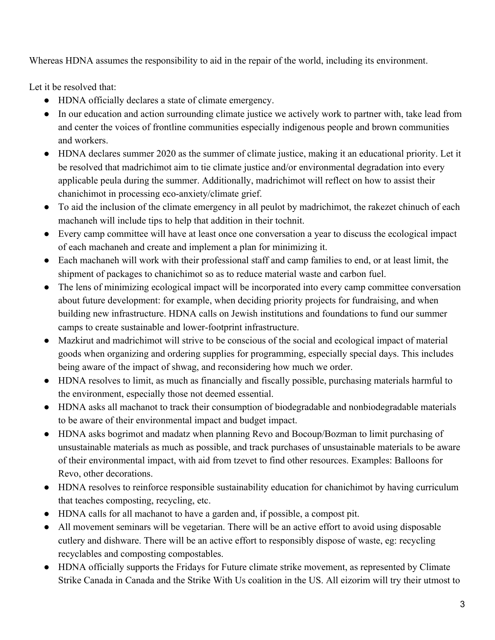Whereas HDNA assumes the responsibility to aid in the repair of the world, including its environment.

Let it be resolved that:

- HDNA officially declares a state of climate emergency.
- In our education and action surrounding climate justice we actively work to partner with, take lead from and center the voices of frontline communities especially indigenous people and brown communities and workers.
- HDNA declares summer 2020 as the summer of climate justice, making it an educational priority. Let it be resolved that madrichimot aim to tie climate justice and/or environmental degradation into every applicable peula during the summer. Additionally, madrichimot will reflect on how to assist their chanichimot in processing eco-anxiety/climate grief.
- To aid the inclusion of the climate emergency in all peulot by madrichimot, the rakezet chinuch of each machaneh will include tips to help that addition in their tochnit.
- Every camp committee will have at least once one conversation a year to discuss the ecological impact of each machaneh and create and implement a plan for minimizing it.
- Each machaneh will work with their professional staff and camp families to end, or at least limit, the shipment of packages to chanichimot so as to reduce material waste and carbon fuel.
- The lens of minimizing ecological impact will be incorporated into every camp committee conversation about future development: for example, when deciding priority projects for fundraising, and when building new infrastructure. HDNA calls on Jewish institutions and foundations to fund our summer camps to create sustainable and lower-footprint infrastructure.
- Mazkirut and madrichimot will strive to be conscious of the social and ecological impact of material goods when organizing and ordering supplies for programming, especially special days. This includes being aware of the impact of shwag, and reconsidering how much we order.
- HDNA resolves to limit, as much as financially and fiscally possible, purchasing materials harmful to the environment, especially those not deemed essential.
- HDNA asks all machanot to track their consumption of biodegradable and nonbiodegradable materials to be aware of their environmental impact and budget impact.
- HDNA asks bogrimot and madatz when planning Revo and Bocoup/Bozman to limit purchasing of unsustainable materials as much as possible, and track purchases of unsustainable materials to be aware of their environmental impact, with aid from tzevet to find other resources. Examples: Balloons for Revo, other decorations.
- HDNA resolves to reinforce responsible sustainability education for chanichimot by having curriculum that teaches composting, recycling, etc.
- HDNA calls for all machanot to have a garden and, if possible, a compost pit.
- All movement seminars will be vegetarian. There will be an active effort to avoid using disposable cutlery and dishware. There will be an active effort to responsibly dispose of waste, eg: recycling recyclables and composting compostables.
- HDNA officially supports the Fridays for Future climate strike movement, as represented by Climate Strike Canada in Canada and the Strike With Us coalition in the US. All eizorim will try their utmost to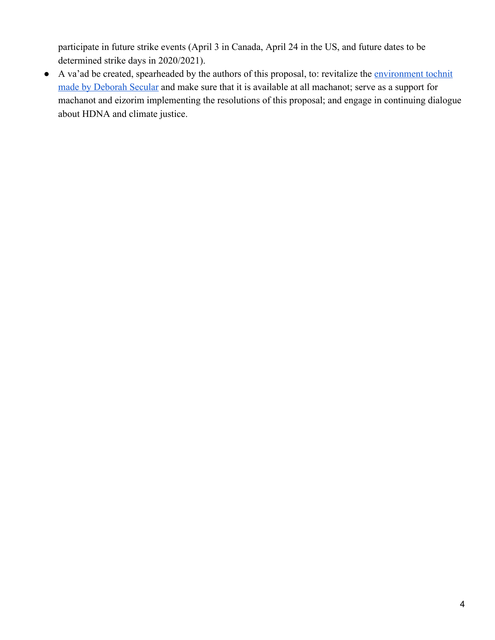participate in future strike events (April 3 in Canada, April 24 in the US, and future dates to be determined strike days in 2020/2021).

● A va'ad be created, spearheaded by the authors of this proposal, to: revitalize the [environment tochnit](https://drive.google.com/drive/folders/0BzAQTSGdFVrkUGhNZWhkdHcwVG8?usp=sharing) [made by Deborah Secular](https://drive.google.com/drive/folders/0BzAQTSGdFVrkUGhNZWhkdHcwVG8?usp=sharing) and make sure that it is available at all machanot; serve as a support for machanot and eizorim implementing the resolutions of this proposal; and engage in continuing dialogue about HDNA and climate justice.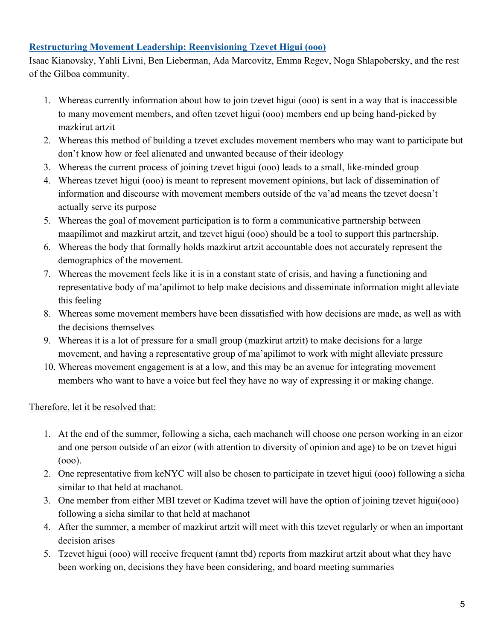### **Restructuring Movement Leadership: Reenvisioning Tzevet Higui (ooo)**

Isaac Kianovsky, Yahli Livni, Ben Lieberman, Ada Marcovitz, Emma Regev, Noga Shlapobersky, and the rest of the Gilboa community.

- 1. Whereas currently information about how to join tzevet higui (ooo) is sent in a way that is inaccessible to many movement members, and often tzevet higui (ooo) members end up being hand-picked by mazkirut artzit
- 2. Whereas this method of building a tzevet excludes movement members who may want to participate but don't know how or feel alienated and unwanted because of their ideology
- 3. Whereas the current process of joining tzevet higui (ooo) leads to a small, like-minded group
- 4. Whereas tzevet higui (ooo) is meant to represent movement opinions, but lack of dissemination of information and discourse with movement members outside of the va'ad means the tzevet doesn't actually serve its purpose
- 5. Whereas the goal of movement participation is to form a communicative partnership between maapilimot and mazkirut artzit, and tzevet higui (ooo) should be a tool to support this partnership.
- 6. Whereas the body that formally holds mazkirut artzit accountable does not accurately represent the demographics of the movement.
- 7. Whereas the movement feels like it is in a constant state of crisis, and having a functioning and representative body of ma'apilimot to help make decisions and disseminate information might alleviate this feeling
- 8. Whereas some movement members have been dissatisfied with how decisions are made, as well as with the decisions themselves
- 9. Whereas it is a lot of pressure for a small group (mazkirut artzit) to make decisions for a large movement, and having a representative group of ma'apilimot to work with might alleviate pressure
- 10. Whereas movement engagement is at a low, and this may be an avenue for integrating movement members who want to have a voice but feel they have no way of expressing it or making change.

# Therefore, let it be resolved that:

- 1. At the end of the summer, following a sicha, each machaneh will choose one person working in an eizor and one person outside of an eizor (with attention to diversity of opinion and age) to be on tzevet higui (ooo).
- 2. One representative from keNYC will also be chosen to participate in tzevet higui (ooo) following a sicha similar to that held at machanot.
- 3. One member from either MBI tzevet or Kadima tzevet will have the option of joining tzevet higui(ooo) following a sicha similar to that held at machanot
- 4. After the summer, a member of mazkirut artzit will meet with this tzevet regularly or when an important decision arises
- 5. Tzevet higui (ooo) will receive frequent (amnt tbd) reports from mazkirut artzit about what they have been working on, decisions they have been considering, and board meeting summaries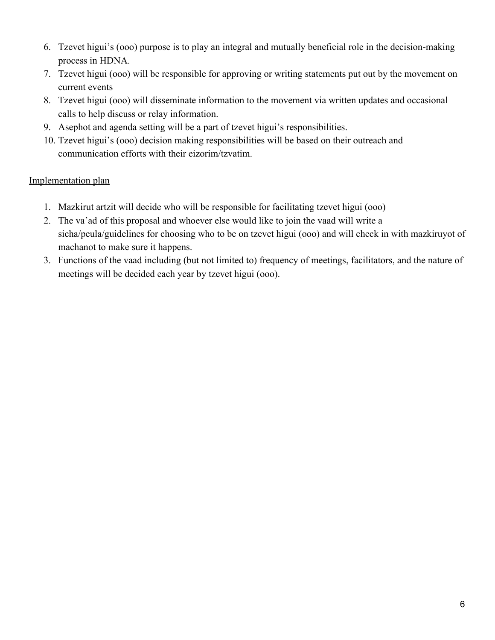- 6. Tzevet higui's (ooo) purpose is to play an integral and mutually beneficial role in the decision-making process in HDNA.
- 7. Tzevet higui (ooo) will be responsible for approving or writing statements put out by the movement on current events
- 8. Tzevet higui (ooo) will disseminate information to the movement via written updates and occasional calls to help discuss or relay information.
- 9. Asephot and agenda setting will be a part of tzevet higui's responsibilities.
- 10. Tzevet higui's (ooo) decision making responsibilities will be based on their outreach and communication efforts with their eizorim/tzvatim.

### Implementation plan

- 1. Mazkirut artzit will decide who will be responsible for facilitating tzevet higui (ooo)
- 2. The va'ad of this proposal and whoever else would like to join the vaad will write a sicha/peula/guidelines for choosing who to be on tzevet higui (ooo) and will check in with mazkiruyot of machanot to make sure it happens.
- 3. Functions of the vaad including (but not limited to) frequency of meetings, facilitators, and the nature of meetings will be decided each year by tzevet higui (ooo).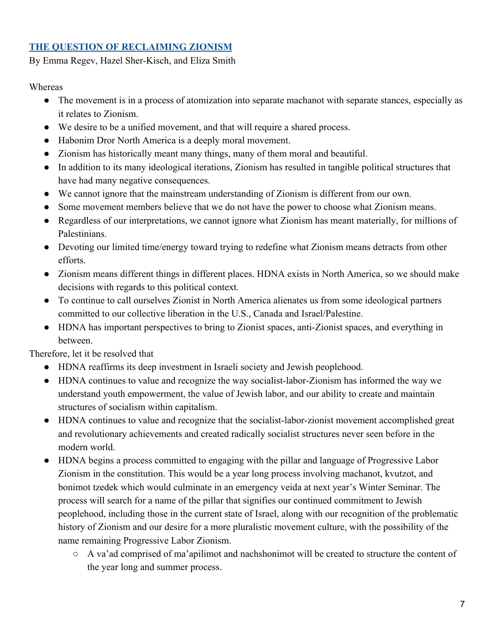### **THE QUESTION OF RECLAIMING ZIONISM**

By Emma Regev, Hazel Sher-Kisch, and Eliza Smith

Whereas

- The movement is in a process of atomization into separate machanot with separate stances, especially as it relates to Zionism.
- We desire to be a unified movement, and that will require a shared process.
- Habonim Dror North America is a deeply moral movement.
- Zionism has historically meant many things, many of them moral and beautiful.
- In addition to its many ideological iterations, Zionism has resulted in tangible political structures that have had many negative consequences.
- We cannot ignore that the mainstream understanding of Zionism is different from our own.
- Some movement members believe that we do not have the power to choose what Zionism means.
- Regardless of our interpretations, we cannot ignore what Zionism has meant materially, for millions of Palestinians.
- Devoting our limited time/energy toward trying to redefine what Zionism means detracts from other efforts.
- Zionism means different things in different places. HDNA exists in North America, so we should make decisions with regards to this political context.
- To continue to call ourselves Zionist in North America alienates us from some ideological partners committed to our collective liberation in the U.S., Canada and Israel/Palestine.
- HDNA has important perspectives to bring to Zionist spaces, anti-Zionist spaces, and everything in between.

Therefore, let it be resolved that

- HDNA reaffirms its deep investment in Israeli society and Jewish peoplehood.
- HDNA continues to value and recognize the way socialist-labor-Zionism has informed the way we understand youth empowerment, the value of Jewish labor, and our ability to create and maintain structures of socialism within capitalism.
- HDNA continues to value and recognize that the socialist-labor-zionist movement accomplished great and revolutionary achievements and created radically socialist structures never seen before in the modern world.
- HDNA begins a process committed to engaging with the pillar and language of Progressive Labor Zionism in the constitution. This would be a year long process involving machanot, kvutzot, and bonimot tzedek which would culminate in an emergency veida at next year's Winter Seminar. The process will search for a name of the pillar that signifies our continued commitment to Jewish peoplehood, including those in the current state of Israel, along with our recognition of the problematic history of Zionism and our desire for a more pluralistic movement culture, with the possibility of the name remaining Progressive Labor Zionism.
	- A va'ad comprised of ma'apilimot and nachshonimot will be created to structure the content of the year long and summer process.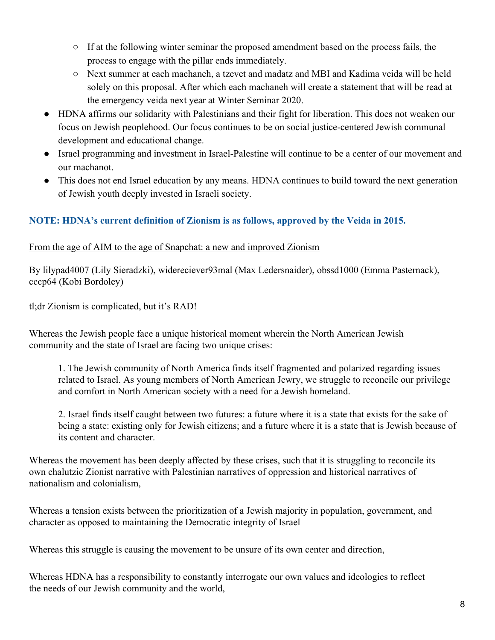- If at the following winter seminar the proposed amendment based on the process fails, the process to engage with the pillar ends immediately.
- Next summer at each machaneh, a tzevet and madatz and MBI and Kadima veida will be held solely on this proposal. After which each machaneh will create a statement that will be read at the emergency veida next year at Winter Seminar 2020.
- HDNA affirms our solidarity with Palestinians and their fight for liberation. This does not weaken our focus on Jewish peoplehood. Our focus continues to be on social justice-centered Jewish communal development and educational change.
- Israel programming and investment in Israel-Palestine will continue to be a center of our movement and our machanot.
- This does not end Israel education by any means. HDNA continues to build toward the next generation of Jewish youth deeply invested in Israeli society.

## **NOTE: HDNA's current definition of Zionism is as follows, approved by the Veida in 2015.**

#### From the age of AIM to the age of Snapchat: a new and improved Zionism

By lilypad4007 (Lily Sieradzki), widereciever93mal (Max Ledersnaider), obssd1000 (Emma Pasternack), cccp64 (Kobi Bordoley)

tl;dr Zionism is complicated, but it's RAD!

Whereas the Jewish people face a unique historical moment wherein the North American Jewish community and the state of Israel are facing two unique crises:

1. The Jewish community of North America finds itself fragmented and polarized regarding issues related to Israel. As young members of North American Jewry, we struggle to reconcile our privilege and comfort in North American society with a need for a Jewish homeland.

2. Israel finds itself caught between two futures: a future where it is a state that exists for the sake of being a state: existing only for Jewish citizens; and a future where it is a state that is Jewish because of its content and character.

Whereas the movement has been deeply affected by these crises, such that it is struggling to reconcile its own chalutzic Zionist narrative with Palestinian narratives of oppression and historical narratives of nationalism and colonialism,

Whereas a tension exists between the prioritization of a Jewish majority in population, government, and character as opposed to maintaining the Democratic integrity of Israel

Whereas this struggle is causing the movement to be unsure of its own center and direction,

Whereas HDNA has a responsibility to constantly interrogate our own values and ideologies to reflect the needs of our Jewish community and the world,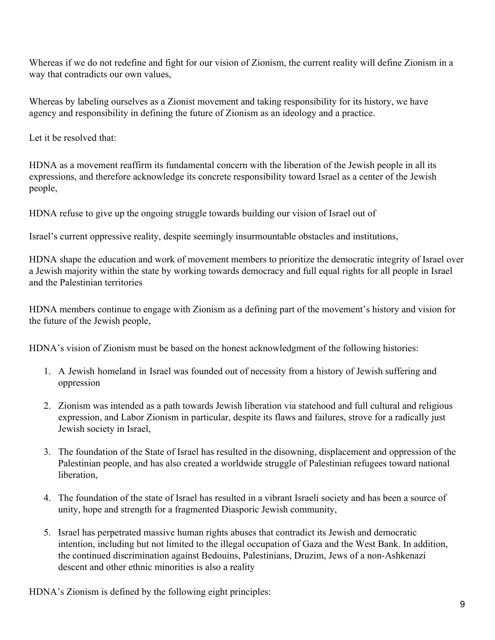Whereas if we do not redefine and fight for our vision of Zionism, the current reality will define Zionism in a way that contradicts our own values,

Whereas by labeling ourselves as a Zionist movement and taking responsibility for its history, we have agency and responsibility in defining the future of Zionism as an ideology and a practice.

Let it be resolved that:

HDNA as a movement reaffirm its fundamental concern with the liberation of the Jewish people in all its expressions, and therefore acknowledge its concrete responsibility toward Israel as a center of the Jewish people,

HDNA refuse to give up the ongoing struggle towards building our vision of Israel out of

Israel's current oppressive reality, despite seemingly insurmountable obstacles and institutions,

HDNA shape the education and work of movement members to prioritize the democratic integrity of Israel over a Jewish majority within the state by working towards democracy and full equal rights for all people in Israel and the Palestinian territories

HDNA members continue to engage with Zionism as a defining part of the movement's history and vision for the future of the Jewish people,

HDNA's vision of Zionism must be based on the honest acknowledgment of the following histories:

- 1. A Jewish homeland in Israel was founded out of necessity from a history of Jewish suffering and oppression
- 2. Zionism was intended as a path towards Jewish liberation via statehood and full cultural and religious expression, and Labor Zionism in particular, despite its flaws and failures, strove for a radically just Jewish society in Israel,
- 3. The foundation of the State of Israel has resulted in the disowning, displacement and oppression of the Palestinian people, and has also created a worldwide struggle of Palestinian refugees toward national liberation,
- 4. The foundation of the state of Israel has resulted in a vibrant Israeli society and has been a source of unity, hope and strength for a fragmented Diasporic Jewish community,
- 5. Israel has perpetrated massive human rights abuses that contradict its Jewish and democratic intention, including but not limited to the illegal occupation of Gaza and the West Bank. In addition, the continued discrimination against Bedouins, Palestinians, Druzim, Jews of a non-Ashkenazi descent and other ethnic minorities is also a reality

HDNA's Zionism is defined by the following eight principles: